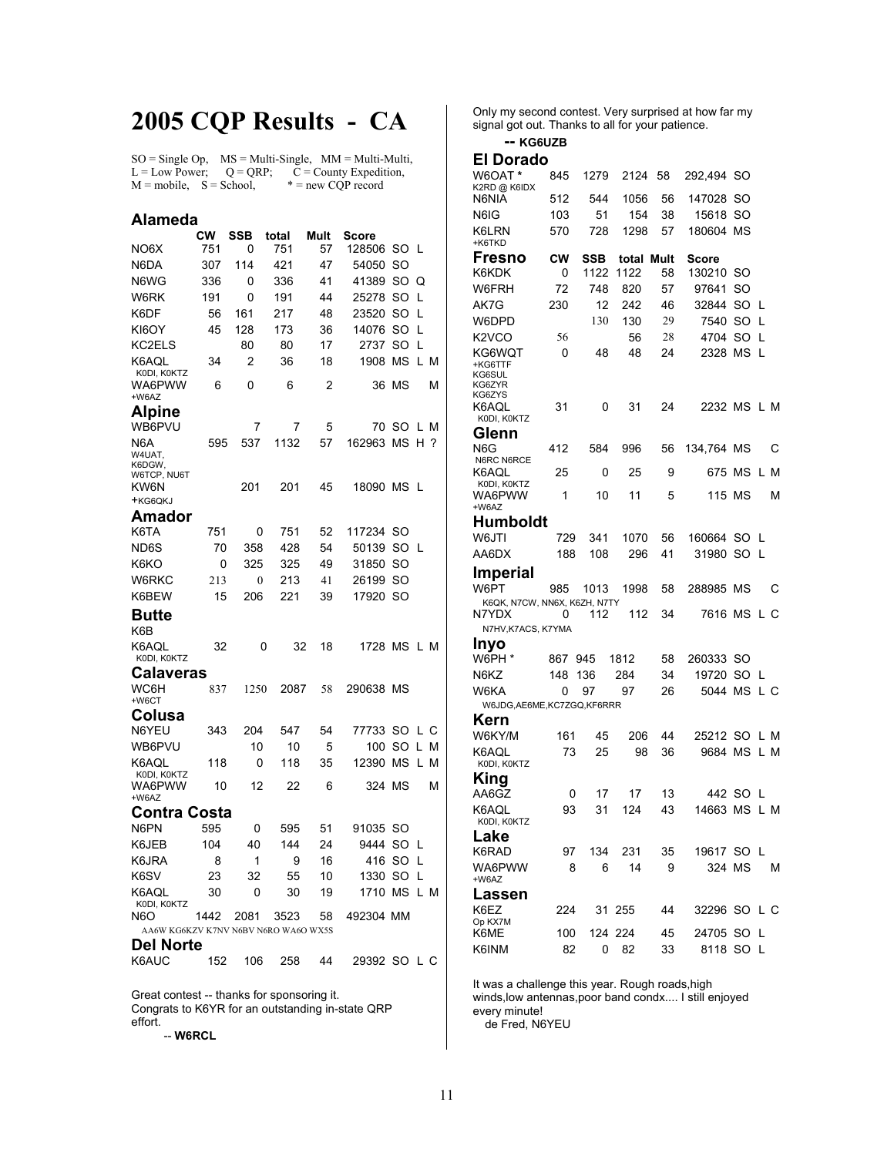# **2005 CQP Results - CA**

 $SO = Single Op$ ,  $MS = Multi-Single$ ,  $MM = Multi-Multi$ , L = Low Power;  $Q = QRP$ ;  $C =$  County Expedition,<br>M = mobile,  $S =$  School,  $* =$  new CQP record  $M = \text{mobile}, S = \text{School},$ 

#### **Alameda<br>CW SSB total Mult Score<br>NO6X 751 0 751 57 12850** 128506 SO L N6DA 307 114 421 47 54050 SO N6WG 336 0 336 41 41389 SO Q W6RK 191 0 191 44 25278 SO L K6DF 56 161 217 48 23520 SO L KI6OY 45 128 173 36 14076 SO L KC2ELS 80 80 17 2737 SO L K6AQL K0DI, K0KTZ 34 2 36 18 1908 MS L M WA6PWW +W6AZ 6 0 6 2 36 MS M **Alpine**  WB6PVU 7 7 5 70 SO L M N6A W4UAT, K6DGW, W6TCP, NU6T 595 537 1132 57 162963 MS H ? KW6N +KG6QKJ 201 201 45 18090 MS L **Amador**  751 0 751 52 117234 SO ND6S 70 358 428 54 50139 SO L K6KO 0 325 325 49 31850 SO W6RKC 213 0 213 41 26199 SO K6BEW 15 206 221 39 17920 SO **Butte**  K6B K6AQL K0DI, K0KTZ 32 0 32 18 1728 MS L M **Calaveras**  WC6H +W6CT 837 1250 2087 58 290638 MS **Colusa**  343 204 547 54 77733 SO L C WB6PVU 10 10 5 100 SO L M K6AQL K0DI, K0KTZ 118 0 118 35 12390 MS L M WA6PWW +W6AZ 10 12 22 6 324 MS M **Contra Costa**<br>
N6PN 595 595 0 595 51 91035 SO K6JEB 104 40 144 24 9444 SO L K6JRA 8 1 9 16 416 SO L K6SV 23 32 55 10 1330 SO L K6AQL K0DI, K0KTZ 30 0 30 19 1710 MS L M N6O 1442 2081 3523 58 492304 MM AA6W KG6KZV K7NV N6BV N6RO WA6O WX5S **Del Norte**<br> **K6AUC** 152 106 258 44 29392 SO L C

Great contest -- thanks for sponsoring it. Congrats to K6YR for an outstanding in-state QRP effort. -- **W6RCL**

Only my second contest. Very surprised at how far my signal got out. Thanks to all for your patience.

### **-- KG6UZB**

### **El Dorado**

| * W6OAT<br>K2RD @ K6IDX                         | 845 | 1279 | 2124       | 58 | 292,494      | SO  |     |
|-------------------------------------------------|-----|------|------------|----|--------------|-----|-----|
| N6NIA                                           | 512 | 544  | 1056       | 56 | 147028       | SO  |     |
| N6IG                                            | 103 | 51   | 154        | 38 | 15618        | SO  |     |
| K6LRN<br>+K6TKD                                 | 570 | 728  | 1298       | 57 | 180604       | МS  |     |
| Fresno                                          | CW  | SSB  | total Mult |    | Score        |     |     |
| K6KDK                                           | 0   | 1122 | 1122       | 58 | 130210       | SO  |     |
| W6FRH                                           | 72  | 748  | 820        | 57 | 97641        | SO  |     |
| AK7G                                            | 230 | 12   | 242        | 46 | 32844        | SO  | L   |
| W6DPD                                           |     | 130  | 130        | 29 | 7540         | SO  | L   |
| K <sub>2</sub> V <sub>CO</sub>                  | 56  |      | 56         | 28 | 4704         | SO  | L   |
| KG6WQT<br>+KG6TTF<br>KG6SUL<br>KG6ZYR<br>KG6ZYS | 0   | 48   | 48         | 24 | 2328         | МS  | L   |
| K6AQL<br>KODI, KOKTZ                            | 31  | 0    | 31         | 24 | 2232 MS      |     | L M |
| Glenn                                           |     |      |            |    |              |     |     |
| N6G                                             | 412 | 584  | 996        | 56 | 134,764 MS   |     | С   |
| N6RC N6RCE<br>K6AQL<br>KODI, KOKTZ              | 25  | 0    | 25         | 9  | 675 MS       |     | L M |
| WA6PWW<br>+W6AZ                                 | 1   | 10   | 11         | 5  | 115 MS       |     | М   |
| Humboldt                                        |     |      |            |    |              |     |     |
| W6JTI                                           | 729 | 341  | 1070       | 56 | 160664       | SO. | L   |
| AA6DX                                           | 188 | 108  | 296        | 41 | 31980 SO     |     | L   |
| <b>Imperial</b>                                 |     |      |            |    |              |     |     |
| W6PT                                            | 985 | 1013 | 1998       | 58 | 288985 MS    |     | С   |
| K6QK, N7CW, NN6X, K6ZH, N7TY                    |     |      |            |    |              |     |     |
| N7YDX                                           | 0   | 112  | 112        | 34 | 7616 MS      |     | L C |
| N7HV, K7ACS, K7YMA                              |     |      |            |    |              |     |     |
| Inyo<br>W6PH *                                  | 867 | 945  | 1812       | 58 | 260333       | SO  |     |
| N6KZ                                            | 148 | 136  | 284        | 34 | 19720 SO L   |     |     |
| W6KA                                            | 0   | 97   | 97         | 26 | 5044 MS      |     | L C |
| W6JDG, AE6ME, KC7ZGQ, KF6RRR                    |     |      |            |    |              |     |     |
| Kern                                            |     |      |            |    |              |     |     |
| W6KY/M                                          | 161 | 45   | 206        | 44 | 25212 SO     |     | L M |
| K6AQL<br>KODI, KOKTZ                            | 73  | 25   | 98         | 36 | 9684 MS      |     | L M |
| King                                            |     |      |            |    |              |     |     |
| AA6GZ                                           | 0   | 17   | 17         | 13 | 442          | SO  | L   |
| K6AQL<br>KODI, KOKTZ                            | 93  | 31   | 124        | 43 | 14663 MS     |     | L M |
| Lake                                            |     |      |            |    |              |     |     |
| K6RAD                                           | 97  | 134  | 231        | 35 | 19617 SO L   |     |     |
| WA6PWW<br>+W6AZ                                 | 8   | 6    | 14         | 9  | 324 MS       |     | Μ   |
| Lassen                                          |     |      |            |    |              |     |     |
| K6EZ                                            | 224 |      | 31 255     | 44 | 32296 SO L C |     |     |
| Op KX7M<br>K6ME                                 | 100 |      | 124 224    | 45 | 24705 SO L   |     |     |
| K6INM                                           | 82  | 0    | 82         | 33 | 8118 SO L    |     |     |
|                                                 |     |      |            |    |              |     |     |

It was a challenge this year. Rough roads,high winds,low antennas,poor band condx.... I still enjoyed every minute! de Fred, N6YEU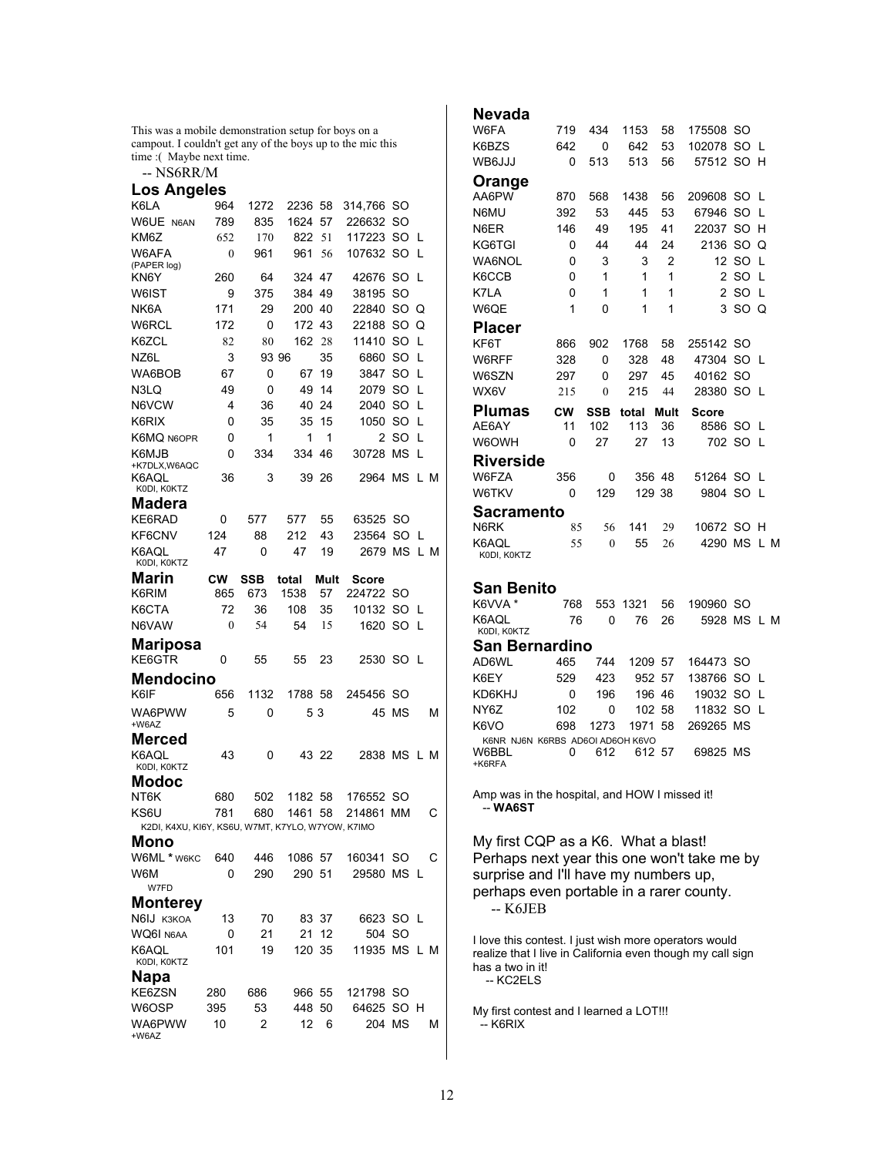This was a mobile demonstration setup for boys on a campout. I couldn't get any of the boys up to the mic this time :( Maybe next time.

-- NS6RR/M

## **Los Angeles**

| Los Angeles                                       |     |            |         |          |              |           |          |     |
|---------------------------------------------------|-----|------------|---------|----------|--------------|-----------|----------|-----|
| K6LA                                              | 964 | 1272       | 2236    | 58       | 314,766      | SO        |          |     |
| W6UE N6AN                                         | 789 | 835        | 1624    | 57       | 226632       | SO        |          |     |
| KM6Z                                              | 652 | 170        | 822     | 51       | 117223       | SO        | L        |     |
| W6AFA                                             | 0   | 961        | 961     | 56       | 107632       | SO        | L        |     |
| (PAPER log)<br>KN6Y                               | 260 | 64         | 324 47  |          | 42676        | SO        | L        |     |
| W6IST                                             | 9   | 375        | 384     | 49       | 38195        | SO        |          |     |
| NK6A                                              | 171 | 29         | 200     | 40       | 22840        | SO        | Q        |     |
| W6RCL                                             | 172 | 0          | 172     | 43       | 22188        | SO        | Q        |     |
| K6ZCL                                             | 82  | 80         | 162     | 28       | 11410        | SO        | L        |     |
| NZ6L                                              | 3   |            | 93 96   | 35       | 6860         | SO        | L        |     |
| WA6BOB                                            | 67  | 0          | 67      | 19       | 3847         | SO        | L        |     |
| N3LQ                                              | 49  | 0          | 49      | 14       | 2079         | SO        | L        |     |
| N6VCW                                             | 4   |            |         |          |              | SO        | L        |     |
| K6RIX                                             |     | 36         | 40      | 24<br>15 | 2040<br>1050 | SO        | L        |     |
|                                                   | 0   | 35         | 35      |          |              |           |          |     |
| K6MQ N6OPR                                        | 0   | 1          | 1       | 1        | 2            | SO<br>MS  | L        |     |
| K6MJB<br>+K7DLX,W6AQC                             | 0   | 334        | 334     | 46       | 30728        |           | L        |     |
| K6AQL                                             | 36  | 3          | 39      | -26      | 2964 MS      |           |          | L M |
| KODI, KOKTZ                                       |     |            |         |          |              |           |          |     |
| Madera                                            |     |            |         |          |              |           |          |     |
| KE6RAD                                            | 0   | 577        | 577     | 55       | 63525        | SO        |          |     |
| KF6CNV                                            | 124 | 88         | 212     | 43       | 23564        | SO        | L        |     |
| K6AQL<br>KODI, KOKTZ                              | 47  | 0          | 47      | 19       | 2679         | MS        |          | L M |
| Marin                                             | СW  | <b>SSB</b> | total   | Mult     | Score        |           |          |     |
| K6RIM                                             | 865 | 673        | 1538    | 57       | 224722       | SO        |          |     |
| K6CTA                                             | 72  | 36         | 108     | 35       | 10132        | SO        | <b>L</b> |     |
| N6VAW                                             | 0   | 54         | 54      | 15       | 1620         | <b>SO</b> | L        |     |
|                                                   |     |            |         |          |              |           |          |     |
| Mariposa<br>KE6GTR                                | 0   | 55         | 55      | 23       | 2530         | SO        | -L       |     |
|                                                   |     |            |         |          |              |           |          |     |
| Mendocino                                         |     |            |         |          |              |           |          |     |
| K6IF                                              | 656 | 1132       | 1788 58 |          | 245456 SO    |           |          |     |
| WA6PWW<br>+W6AZ                                   | 5   | 0          |         | 53       | 45           | MS        |          | М   |
| Merced                                            |     |            |         |          |              |           |          |     |
| K6AQL                                             | 43  | 0          |         | 43 22    | 2838 MS      |           | L M      |     |
| KODI, KOKTZ                                       |     |            |         |          |              |           |          |     |
| Modoc                                             |     |            |         |          |              |           |          |     |
| NT6K                                              | 680 | 502        | 1182    | 58       | 176552 SO    |           |          |     |
| KS6U                                              | 781 | 680        | 1461    | 58       | 214861       | ΜМ        |          | С   |
| K2DI, K4XU, KI6Y, KS6U, W7MT, K7YLO, W7YOW, K7IMO |     |            |         |          |              |           |          |     |
| Mono                                              |     |            |         |          |              |           |          |     |
| W6ML * w6KC                                       | 640 | 446        | 1086 57 |          | 160341 SO    |           |          | С   |
| W6M                                               | 0   | 290        | 290 51  |          | 29580 MS L   |           |          |     |
| W7FD                                              |     |            |         |          |              |           |          |     |
| Monterey<br>N6IJ K3KOA                            |     |            |         |          | 6623 SO L    |           |          |     |
|                                                   | 13  | 70         |         | 83 37    | 504 SO       |           |          |     |
| WQ6I N6AA                                         | 0   | 21         | 21      | 12       |              |           |          |     |
| K6AQL<br>KODI, KOKTZ                              | 101 | 19         | 120 35  |          | 11935 MS L M |           |          |     |
| <b>Napa</b>                                       |     |            |         |          |              |           |          |     |
| KE6ZSN                                            | 280 | 686        | 966 55  |          | 121798 SO    |           |          |     |
| W6OSP                                             | 395 | 53         | 448 50  |          | 64625        | SO H      |          |     |
| WA6PWW<br>+W6AZ                                   | 10  | 2          | 12      | 6        | 204 MS       |           |          | Μ   |
|                                                   |     |            |         |          |              |           |          |     |

| Nevada                                                |     |              |               |      |               |            |        |     |
|-------------------------------------------------------|-----|--------------|---------------|------|---------------|------------|--------|-----|
| W6FA                                                  | 719 | 434          | 1153          | 58   | 175508        | SO.        |        |     |
| K6BZS                                                 | 642 | 0            | 642           | 53   | 102078        | SO.        | L      |     |
| WB6JJJ                                                | 0   | 513          | 513           | 56   | 57512 SO      |            | н      |     |
| Orange                                                |     |              |               |      |               |            |        |     |
| AA6PW                                                 | 870 | 568          | 1438          | 56   | 209608        | SO.        | L      |     |
| N6MU                                                  | 392 | 53           | 445           | 53   | 67946         | <b>SO</b>  | L      |     |
| N6ER                                                  | 146 | 49           | 195           | 41   | 22037         | SO         | н      |     |
| KG6TGI                                                | 0   | 44           | 44            | 24   | 2136          | SO         | Q      |     |
| WA6NOL                                                | 0   | 3            | 3             | 2    | 12            | SO         | L      |     |
| K6CCB                                                 | 0   | 1            | 1             | 1    | 2             | SO         | L      |     |
| K7LA                                                  | 0   | 1            | 1             | 1    | 2             | <b>SO</b>  | L      |     |
| W6QE                                                  | 1   | 0            | 1             | 1    | 3             | <b>SO</b>  | Q      |     |
| <b>Placer</b>                                         |     |              |               |      |               |            |        |     |
| KF6T                                                  | 866 | 902          | 1768          | 58   | 255142        | SO         |        |     |
| W6RFF                                                 | 328 | 0            | 328           | 48   | 47304         | SO.        | L      |     |
| W6SZN                                                 | 297 | 0            | 297           | 45   | 40162         | SO         |        |     |
| WX6V                                                  | 215 | $\theta$     | 215           | 44   | 28380         | SO         | L      |     |
| <b>Plumas</b>                                         | CW  | SSB          | total         | Mult | Score         |            |        |     |
| AE6AY                                                 | 11  | 102          | 113           | 36   | 8586 SO       |            | L      |     |
| W6OWH                                                 | 0   | 27           | 27            | 13   | 702 SO        |            | L      |     |
|                                                       |     |              |               |      |               |            |        |     |
| Riverside<br>W6FZA                                    |     |              |               |      |               |            |        |     |
| W6TKV                                                 | 356 | 0            | 356<br>129 38 | -48  | 51264<br>9804 | -SO<br>SO. | L<br>L |     |
|                                                       | 0   | 129          |               |      |               |            |        |     |
| Sacramento                                            |     |              |               |      |               |            |        |     |
| N6RK                                                  | 85  | 56           | 141           | 29   | 10672 SO H    |            |        |     |
|                                                       |     |              |               |      |               |            |        |     |
| K6AQL                                                 | 55  | $\mathbf{0}$ | 55            | 26   | 4290          | МS         | L M    |     |
| KODI, KOKTZ                                           |     |              |               |      |               |            |        |     |
|                                                       |     |              |               |      |               |            |        |     |
| San Benito                                            |     |              |               |      |               |            |        |     |
| K6VVA*                                                | 768 | 553          | 1321          | 56   | 190960        | -SO        |        |     |
| K6AQL<br>KODI, KOKTZ                                  | 76  | 0            | 76            | 26   | 5928          | МS         |        | L M |
| San Bernardino                                        |     |              |               |      |               |            |        |     |
| AD6WL                                                 | 465 | 744          | 1209          | 57   | 164473        | SO         |        |     |
| K6EY                                                  | 529 | 423          | 952           | 57   | 138766        | SO         | L      |     |
| KD6KHJ                                                | 0   | 196          | 196           | 46   | 19032         | <b>SO</b>  | L      |     |
| NY6Z                                                  | 102 | 0            | 102           | 58   | 11832         | SO         | L      |     |
| K6VO                                                  | 698 | 1273         | 1971          | 58   | 269265        | ΜS         |        |     |
| K6NR NJ6N K6RBS AD6OI AD6OH K6VO                      |     |              |               |      |               |            |        |     |
| W6BBL                                                 | 0   | 612          | 612 57        |      | 69825 MS      |            |        |     |
| +K6RFA                                                |     |              |               |      |               |            |        |     |
| Amp was in the hospital, and HOW I missed it!         |     |              |               |      |               |            |        |     |
| -- WA6ST                                              |     |              |               |      |               |            |        |     |
|                                                       |     |              |               |      |               |            |        |     |
| My first CQP as a K6. What a blast!                   |     |              |               |      |               |            |        |     |
| Perhaps next year this one won't take me by           |     |              |               |      |               |            |        |     |
|                                                       |     |              |               |      |               |            |        |     |
| surprise and I'll have my numbers up,                 |     |              |               |      |               |            |        |     |
| perhaps even portable in a rarer county.<br>-- K6JEB  |     |              |               |      |               |            |        |     |
|                                                       |     |              |               |      |               |            |        |     |
| I love this contest. I just wish more operators would |     |              |               |      |               |            |        |     |

has a two in it! -- KC2ELS

My first contest and I learned a LOT!!! -- K6RIX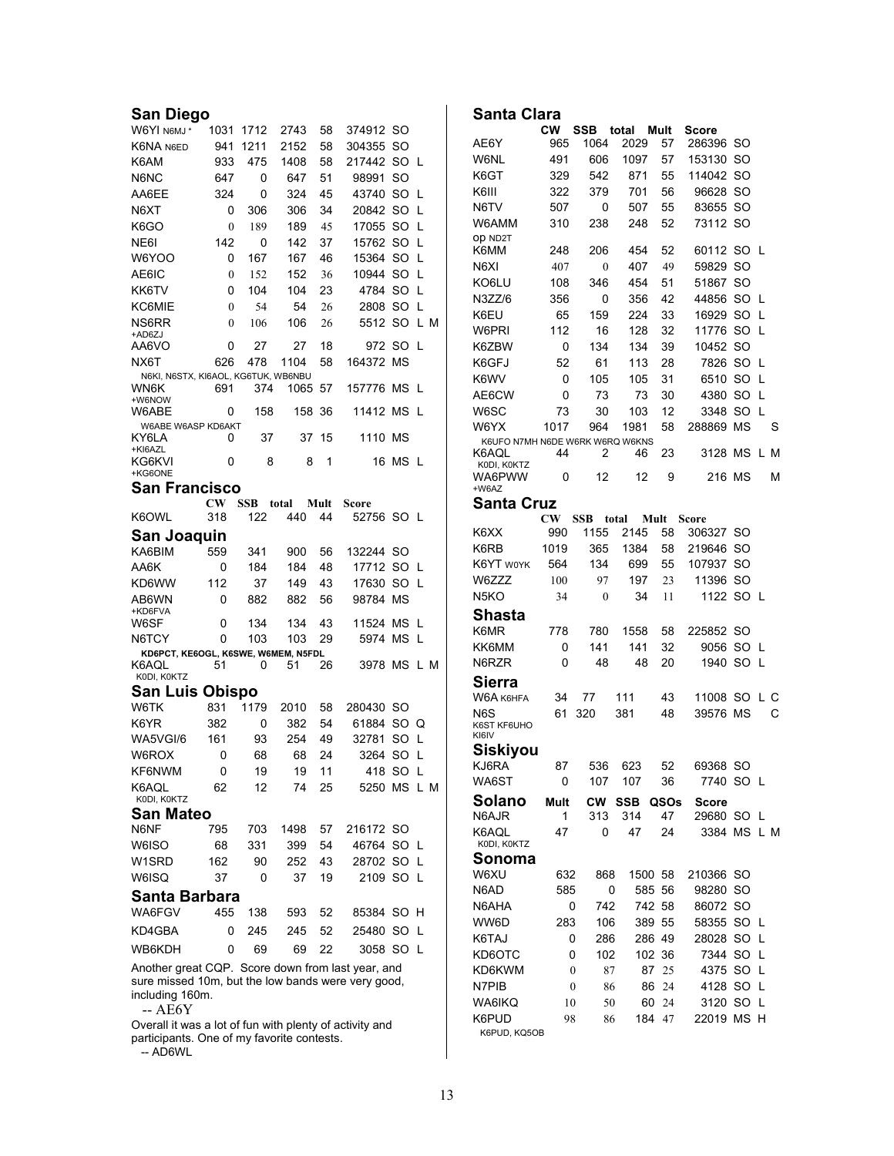| Santa             |
|-------------------|
|                   |
| AE6Y              |
| W6NL              |
| K6GT              |
| K6III             |
| N6TV              |
| W6AMN             |
| OD ND2T<br>K6MM   |
| N6XI              |
| KO6LU             |
| N3ZZ/6            |
| K6EU              |
| W6PRI             |
| K6ZBW             |
| K6GFJ             |
| K6WV              |
| AE6CW             |
| W6SC              |
| W6YX              |
| K6UFO             |
| K6AQL             |
| KODI, KO          |
| WA6PW<br>+W6AZ    |
| Santa             |
|                   |
| K6XX              |
| K6RB              |
| K6YT w            |
| W6ZZZ             |
| N <sub>5</sub> KO |
| Shas              |
| K6MR              |
| KK6MM             |
| N6RZR             |
| Sierra            |
| W6A K6I           |
| N6S               |
| K6ST KF6<br>KI6IV |
| Siskiy            |
| KJ6RA             |
| WA6ST             |
| Solar             |
| N6AJR             |
| K6AQL             |
| KODI, KO          |
| Sono              |
| W6XU              |
| N6AD              |
| N6AHA             |
| WW6D              |
| K6TAJ             |
| KD6OT             |
| KD6KW             |
| N7PIB             |
|                   |

-- AE6Y

Overall it was a lot of fun with plenty of activity and participants. One of my favorite contests.

-- AD6WL

| Santa Clara                     |                  |              |               |      |             |      |    |   |  |
|---------------------------------|------------------|--------------|---------------|------|-------------|------|----|---|--|
|                                 | <b>CW</b>        | SSB          | total         | Mult | Score       |      |    |   |  |
| AE6Y                            | 965              | 1064         | 2029          | 57   | 286396      | SO   |    |   |  |
| W6NL                            | 491              | 606          | 1097          | 57   | 153130      | SO   |    |   |  |
| K6GT                            | 329              | 542          | 871           | 55   | 114042      | SΟ   |    |   |  |
| K6III                           | 322              | 379          | 701           | 56   | 96628       | SO   |    |   |  |
| N6TV                            | 507              | 0            | 507           | 55   | 83655       | SO   |    |   |  |
| W6AMM                           | 310              | 238          | 248           | 52   | 73112       | SO   |    |   |  |
| OD ND2T                         |                  |              |               |      |             |      |    |   |  |
| K6MM                            | 248              | 206          | 454           | 52   | 60112       | SO   | L  |   |  |
| N6XI                            | 407              | $\mathbf{0}$ | 407           | 49   | 59829       | SO   |    |   |  |
| KO6LU                           | 108              | 346          | 454           | 51   | 51867       | SO   |    |   |  |
| N3ZZ/6                          | 356              | 0            | 356           | 42   | 44856       | SO   | L  |   |  |
| K6EU                            | 65               | 159          | 224           | 33   | 16929       | SO   | L  |   |  |
| W6PRI                           | 112              | 16           | 128           | 32   | 11776       | SO   | L  |   |  |
| K6ZBW                           | 0                | 134          | 134           | 39   | 10452       | SO   |    |   |  |
| K6GFJ                           | 52               | 61           | 113           | 28   | 7826        | SO   | L  |   |  |
| K6WV                            | 0                | 105          | 105           | 31   | 6510        | SO   | L  |   |  |
| AE6CW                           | 0                | 73           | 73            | 30   | 4380        | SO   | L  |   |  |
| W6SC                            | 73               | 30           | 103           | 12   | 3348        | SO   | L  |   |  |
| W6YX                            | 1017             | 964          | 1981          | 58   | 288869      | MS   |    | S |  |
| K6UFO N7MH N6DE W6RK W6RQ W6KNS |                  |              |               |      |             |      |    |   |  |
| K6AQL                           | 44               | 2            | 46            | 23   | 3128        | МS   | LМ |   |  |
| KODI, KOKTZ<br>WA6PWW           | 0                | 12           | 12            | 9    | 216 MS      |      |    | М |  |
| +W6AZ                           |                  |              |               |      |             |      |    |   |  |
| Santa Cruz                      |                  |              |               |      |             |      |    |   |  |
|                                 | <b>CW</b>        | <b>SSB</b>   | total<br>Mult |      | Score       |      |    |   |  |
| K6XX                            | 990              | 1155         | 2145          | 58   | 306327      | SO   |    |   |  |
| K6RB                            | 1019             | 365          | 1384          | 58   | 219646      | SO   |    |   |  |
| K6YT WOYK                       | 564              | 134          | 699           | 55   | 107937      | SO   |    |   |  |
| W6ZZZ                           | 100              | 97           | 197           | 23   | 11396       | SO   |    |   |  |
| N5KO                            | 34               | $\mathbf{0}$ | 34            | 11   | 1122        | SO   | L  |   |  |
| Shasta                          |                  |              |               |      |             |      |    |   |  |
| K6MR                            | 778              | 780          | 1558          | 58   | 225852      | SO   |    |   |  |
| KK6MM                           | 0                | 141          | 141           | 32   | 9056        | SΟ   | L  |   |  |
| N6RZR                           | 0                | 48           | 48            | 20   | 1940        | SO   | L  |   |  |
|                                 |                  |              |               |      |             |      |    |   |  |
| Sierra                          |                  |              |               |      |             |      |    |   |  |
| W6A к6нға                       | 34               | 77           | 111           | 43   | 11008       | SO.  | L  | С |  |
| N6S<br>K6ST KF6UHO              | 61               | 320          | 381           | 48   | 39576       | MS   |    | С |  |
| KI6IV                           |                  |              |               |      |             |      |    |   |  |
| Siskiyou                        |                  |              |               |      |             |      |    |   |  |
| KJ6RA                           | 87               | 536          | 623           | 52   | 69368 SO    |      |    |   |  |
| WA6ST                           | 0                | 107          | 107           | 36   | 7740        | SO L |    |   |  |
| Solano                          | Mult             | <b>CW</b>    | <b>SSB</b>    | QSOs | Score       |      |    |   |  |
| N6AJR                           | 1                | 313          | 314           | 47   | 29680 SO L  |      |    |   |  |
| K6AQL                           | 47               | 0            | 47            | 24   | 3384 MS L M |      |    |   |  |
| KODI, KOKTZ                     |                  |              |               |      |             |      |    |   |  |
| Sonoma                          |                  |              |               |      |             |      |    |   |  |
| W6XU                            | 632              | 868          | 1500          | 58   | 210366      | SO   |    |   |  |
| N6AD                            | 585              | 0            | 585           | 56   | 98280       | SO   |    |   |  |
| N6AHA                           | 0                | 742          | 742           | 58   | 86072       | SO   |    |   |  |
| WW6D                            | 283              | 106          | 389           | 55   | 58355       | SO L |    |   |  |
| K6TAJ                           | 0                | 286          | 286 49        |      | 28028       | SO   | L  |   |  |
| KD6OTC                          | 0                | 102          | 102           | 36   | 7344        | SO   | L  |   |  |
| KD6KWM                          | $\boldsymbol{0}$ | 87           | 87            | 25   | 4375        | SO   | L  |   |  |
| N7PIB                           | $\boldsymbol{0}$ | 86           | 86            | 24   | 4128        | SO   | L  |   |  |
| WA6IKQ                          | 10               | 50           | 60            | 24   | 3120        | SO   | L  |   |  |
| K6PUD                           | 98               | 86           | 184           | 47   | 22019       | ΜS   | H  |   |  |
| K6PUD, KQ5OB                    |                  |              |               |      |             |      |    |   |  |